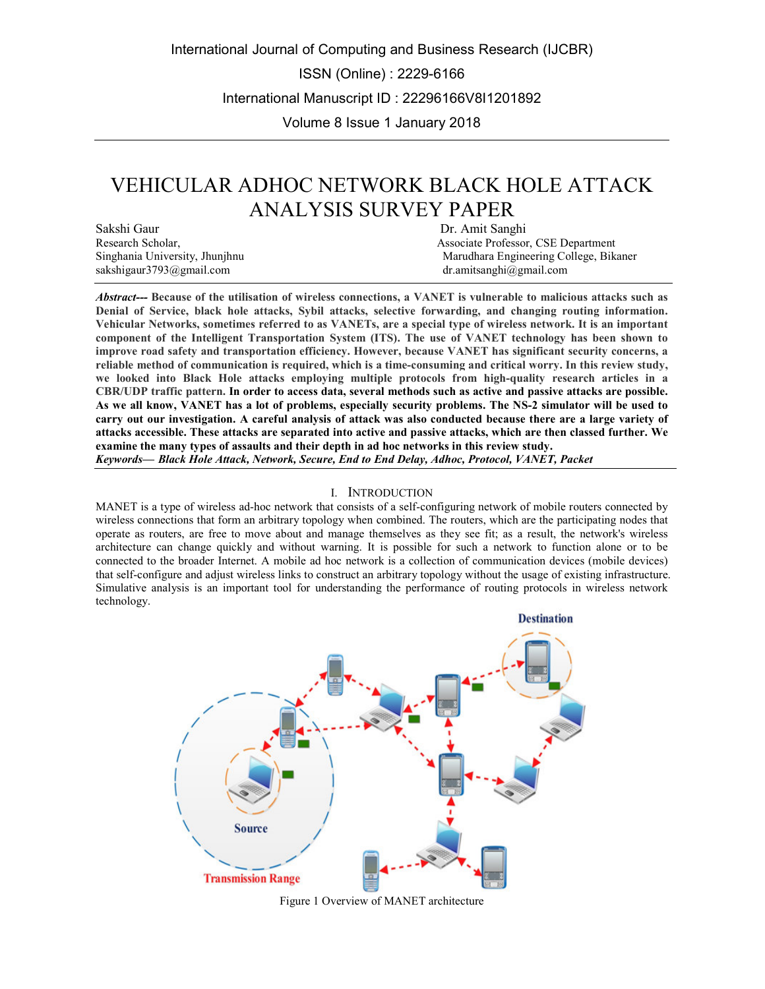International Journal of Computing and Business Research (IJCBR)

ISSN (Online) : 2229-6166

International Manuscript ID : 22296166V8I1201892

Volume 8 Issue 1 January 2018

# VEHICULAR ADHOC NETWORK BLACK HOLE ATTACK ANALYSIS SURVEY PAPER

Sakshi Gaur Dr. Amit Sanghi Research Scholar, and the Sanghi Research Scholar, and the Sanghi Research Scholar, and the Sanghi Research Scholar, and the Sanghi Research Scholar, and the Sanghi Research Scholar, and the San sakshigaur3793@gmail.com dr.amitsanghi@gmail.com dr.amitsanghi@gmail.com

Associate Professor, CSE Department Singhania University, Jhunjhnu Marudhara Engineering College, Bikaner

*Abstract---* **Because of the utilisation of wireless connections, a VANET is vulnerable to malicious attacks such as Denial of Service, black hole attacks, Sybil attacks, selective forwarding, and changing routing information. Vehicular Networks, sometimes referred to as VANETs, are a special type of wireless network. It is an important component of the Intelligent Transportation System (ITS). The use of VANET technology has been shown to improve road safety and transportation efficiency. However, because VANET has significant security concerns, a reliable method of communication is required, which is a time-consuming and critical worry. In this review study, we looked into Black Hole attacks employing multiple protocols from high-quality research articles in a CBR/UDP traffic pattern. In order to access data, several methods such as active and passive attacks are possible. As we all know, VANET has a lot of problems, especially security problems. The NS-2 simulator will be used to carry out our investigation. A careful analysis of attack was also conducted because there are a large variety of attacks accessible. These attacks are separated into active and passive attacks, which are then classed further. We examine the many types of assaults and their depth in ad hoc networks in this review study.** *Keywords— Black Hole Attack, Network, Secure, End to End Delay, Adhoc, Protocol, VANET, Packet*

#### I. INTRODUCTION

MANET is a type of wireless ad-hoc network that consists of a self-configuring network of mobile routers connected by wireless connections that form an arbitrary topology when combined. The routers, which are the participating nodes that operate as routers, are free to move about and manage themselves as they see fit; as a result, the network's wireless architecture can change quickly and without warning. It is possible for such a network to function alone or to be connected to the broader Internet. A mobile ad hoc network is a collection of communication devices (mobile devices) that self-configure and adjust wireless links to construct an arbitrary topology without the usage of existing infrastructure. Simulative analysis is an important tool for understanding the performance of routing protocols in wireless network technology.



Figure 1 Overview of MANET architecture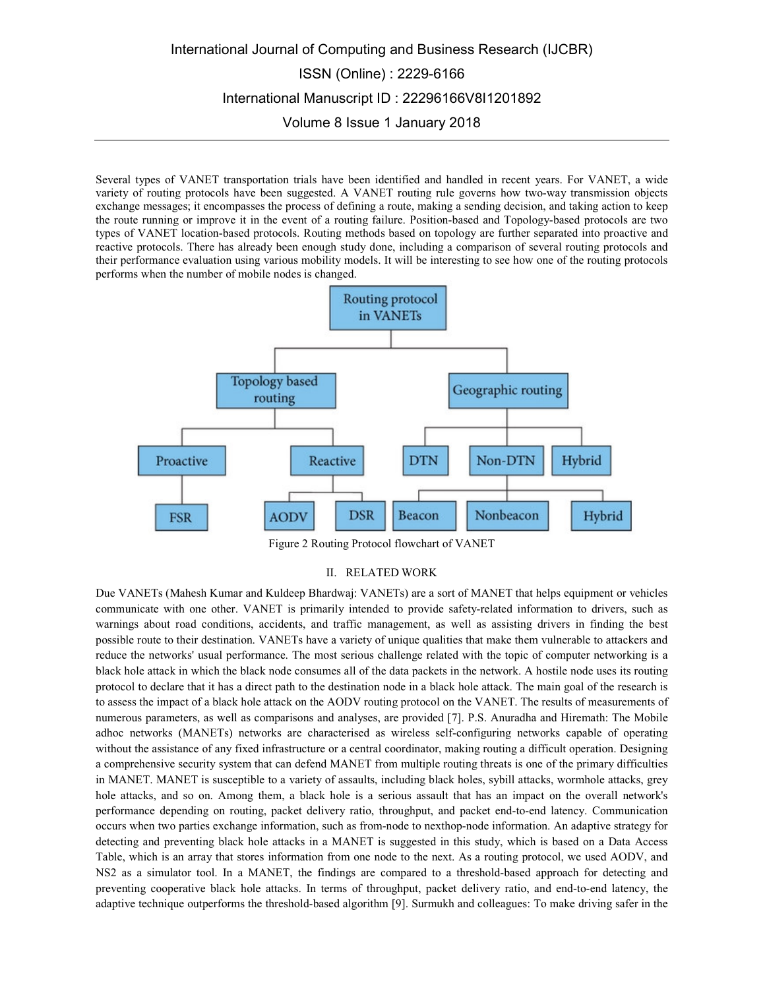# International Journal of Computing and Business Research (IJCBR) ISSN (Online) : 2229-6166 International Manuscript ID : 22296166V8I1201892 Volume 8 Issue 1 January 2018

Several types of VANET transportation trials have been identified and handled in recent years. For VANET, a wide variety of routing protocols have been suggested. A VANET routing rule governs how two-way transmission objects exchange messages; it encompasses the process of defining a route, making a sending decision, and taking action to keep the route running or improve it in the event of a routing failure. Position-based and Topology-based protocols are two types of VANET location-based protocols. Routing methods based on topology are further separated into proactive and reactive protocols. There has already been enough study done, including a comparison of several routing protocols and their performance evaluation using various mobility models. It will be interesting to see how one of the routing protocols performs when the number of mobile nodes is changed.



Figure 2 Routing Protocol flowchart of VANET

### II. RELATED WORK

Due VANETs (Mahesh Kumar and Kuldeep Bhardwaj: VANETs) are a sort of MANET that helps equipment or vehicles communicate with one other. VANET is primarily intended to provide safety-related information to drivers, such as warnings about road conditions, accidents, and traffic management, as well as assisting drivers in finding the best possible route to their destination. VANETs have a variety of unique qualities that make them vulnerable to attackers and reduce the networks' usual performance. The most serious challenge related with the topic of computer networking is a black hole attack in which the black node consumes all of the data packets in the network. A hostile node uses its routing protocol to declare that it has a direct path to the destination node in a black hole attack. The main goal of the research is to assess the impact of a black hole attack on the AODV routing protocol on the VANET. The results of measurements of numerous parameters, as well as comparisons and analyses, are provided [7]. P.S. Anuradha and Hiremath: The Mobile adhoc networks (MANETs) networks are characterised as wireless self-configuring networks capable of operating without the assistance of any fixed infrastructure or a central coordinator, making routing a difficult operation. Designing a comprehensive security system that can defend MANET from multiple routing threats is one of the primary difficulties in MANET. MANET is susceptible to a variety of assaults, including black holes, sybill attacks, wormhole attacks, grey hole attacks, and so on. Among them, a black hole is a serious assault that has an impact on the overall network's performance depending on routing, packet delivery ratio, throughput, and packet end-to-end latency. Communication occurs when two parties exchange information, such as from-node to nexthop-node information. An adaptive strategy for detecting and preventing black hole attacks in a MANET is suggested in this study, which is based on a Data Access Table, which is an array that stores information from one node to the next. As a routing protocol, we used AODV, and NS2 as a simulator tool. In a MANET, the findings are compared to a threshold-based approach for detecting and preventing cooperative black hole attacks. In terms of throughput, packet delivery ratio, and end-to-end latency, the adaptive technique outperforms the threshold-based algorithm [9]. Surmukh and colleagues: To make driving safer in the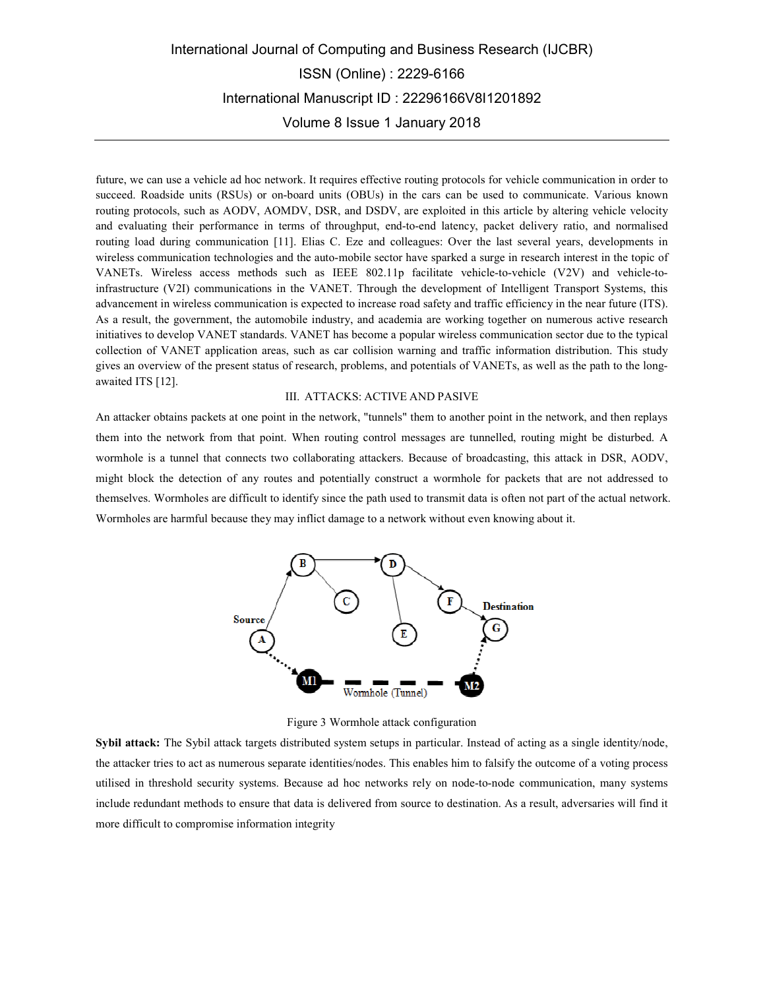## International Journal of Computing and Business Research (IJCBR) ISSN (Online) : 2229-6166 International Manuscript ID : 22296166V8I1201892 Volume 8 Issue 1 January 2018

future, we can use a vehicle ad hoc network. It requires effective routing protocols for vehicle communication in order to succeed. Roadside units (RSUs) or on-board units (OBUs) in the cars can be used to communicate. Various known routing protocols, such as AODV, AOMDV, DSR, and DSDV, are exploited in this article by altering vehicle velocity and evaluating their performance in terms of throughput, end-to-end latency, packet delivery ratio, and normalised routing load during communication [11]. Elias C. Eze and colleagues: Over the last several years, developments in wireless communication technologies and the auto-mobile sector have sparked a surge in research interest in the topic of VANETs. Wireless access methods such as IEEE 802.11p facilitate vehicle-to-vehicle (V2V) and vehicle-toinfrastructure (V2I) communications in the VANET. Through the development of Intelligent Transport Systems, this advancement in wireless communication is expected to increase road safety and traffic efficiency in the near future (ITS). As a result, the government, the automobile industry, and academia are working together on numerous active research initiatives to develop VANET standards. VANET has become a popular wireless communication sector due to the typical collection of VANET application areas, such as car collision warning and traffic information distribution. This study gives an overview of the present status of research, problems, and potentials of VANETs, as well as the path to the longawaited ITS [12].

### III. ATTACKS: ACTIVE AND PASIVE

An attacker obtains packets at one point in the network, "tunnels" them to another point in the network, and then replays them into the network from that point. When routing control messages are tunnelled, routing might be disturbed. A wormhole is a tunnel that connects two collaborating attackers. Because of broadcasting, this attack in DSR, AODV, might block the detection of any routes and potentially construct a wormhole for packets that are not addressed to themselves. Wormholes are difficult to identify since the path used to transmit data is often not part of the actual network. Wormholes are harmful because they may inflict damage to a network without even knowing about it.



Figure 3 Wormhole attack configuration

**Sybil attack:** The Sybil attack targets distributed system setups in particular. Instead of acting as a single identity/node, the attacker tries to act as numerous separate identities/nodes. This enables him to falsify the outcome of a voting process utilised in threshold security systems. Because ad hoc networks rely on node-to-node communication, many systems include redundant methods to ensure that data is delivered from source to destination. As a result, adversaries will find it more difficult to compromise information integrity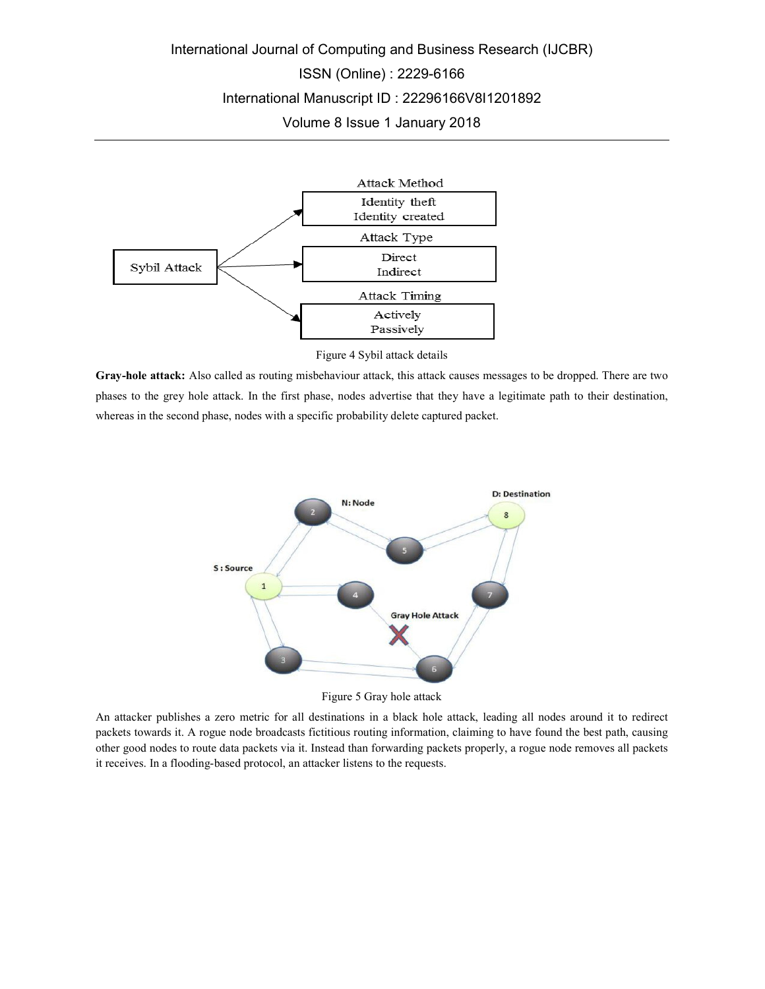## International Journal of Computing and Business Research (IJCBR) ISSN (Online) : 2229-6166 International Manuscript ID : 22296166V8I1201892

Volume 8 Issue 1 January 2018



Figure 4 Sybil attack details

**Gray-hole attack:** Also called as routing misbehaviour attack, this attack causes messages to be dropped. There are two phases to the grey hole attack. In the first phase, nodes advertise that they have a legitimate path to their destination, whereas in the second phase, nodes with a specific probability delete captured packet.



Figure 5 Gray hole attack

An attacker publishes a zero metric for all destinations in a black hole attack, leading all nodes around it to redirect packets towards it. A rogue node broadcasts fictitious routing information, claiming to have found the best path, causing other good nodes to route data packets via it. Instead than forwarding packets properly, a rogue node removes all packets it receives. In a flooding-based protocol, an attacker listens to the requests.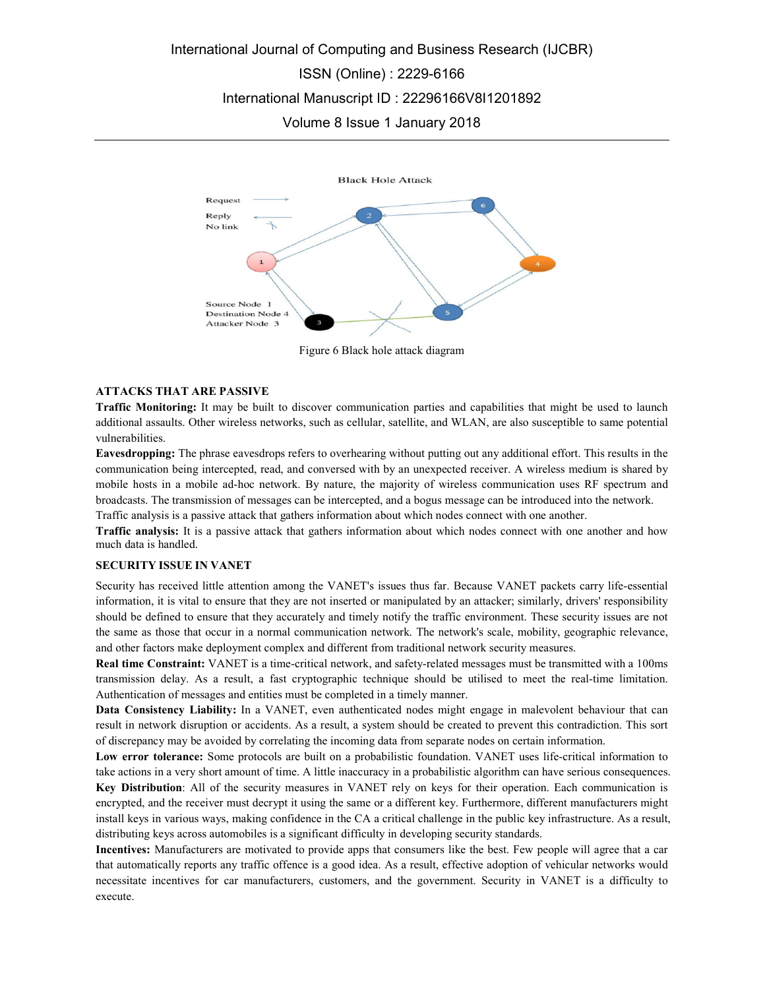

Figure 6 Black hole attack diagram

### **ATTACKS THAT ARE PASSIVE**

**Traffic Monitoring:** It may be built to discover communication parties and capabilities that might be used to launch additional assaults. Other wireless networks, such as cellular, satellite, and WLAN, are also susceptible to same potential vulnerabilities.

**Eavesdropping:** The phrase eavesdrops refers to overhearing without putting out any additional effort. This results in the communication being intercepted, read, and conversed with by an unexpected receiver. A wireless medium is shared by mobile hosts in a mobile ad-hoc network. By nature, the majority of wireless communication uses RF spectrum and broadcasts. The transmission of messages can be intercepted, and a bogus message can be introduced into the network. Traffic analysis is a passive attack that gathers information about which nodes connect with one another.

**Traffic analysis:** It is a passive attack that gathers information about which nodes connect with one another and how much data is handled.

## **SECURITY ISSUE IN VANET**

Security has received little attention among the VANET's issues thus far. Because VANET packets carry life-essential information, it is vital to ensure that they are not inserted or manipulated by an attacker; similarly, drivers' responsibility should be defined to ensure that they accurately and timely notify the traffic environment. These security issues are not the same as those that occur in a normal communication network. The network's scale, mobility, geographic relevance, and other factors make deployment complex and different from traditional network security measures.

**Real time Constraint:** VANET is a time-critical network, and safety-related messages must be transmitted with a 100ms transmission delay. As a result, a fast cryptographic technique should be utilised to meet the real-time limitation. Authentication of messages and entities must be completed in a timely manner.

**Data Consistency Liability:** In a VANET, even authenticated nodes might engage in malevolent behaviour that can result in network disruption or accidents. As a result, a system should be created to prevent this contradiction. This sort of discrepancy may be avoided by correlating the incoming data from separate nodes on certain information.

**Low error tolerance:** Some protocols are built on a probabilistic foundation. VANET uses life-critical information to take actions in a very short amount of time. A little inaccuracy in a probabilistic algorithm can have serious consequences. **Key Distribution**: All of the security measures in VANET rely on keys for their operation. Each communication is encrypted, and the receiver must decrypt it using the same or a different key. Furthermore, different manufacturers might install keys in various ways, making confidence in the CA a critical challenge in the public key infrastructure. As a result, distributing keys across automobiles is a significant difficulty in developing security standards.

**Incentives:** Manufacturers are motivated to provide apps that consumers like the best. Few people will agree that a car that automatically reports any traffic offence is a good idea. As a result, effective adoption of vehicular networks would necessitate incentives for car manufacturers, customers, and the government. Security in VANET is a difficulty to execute.